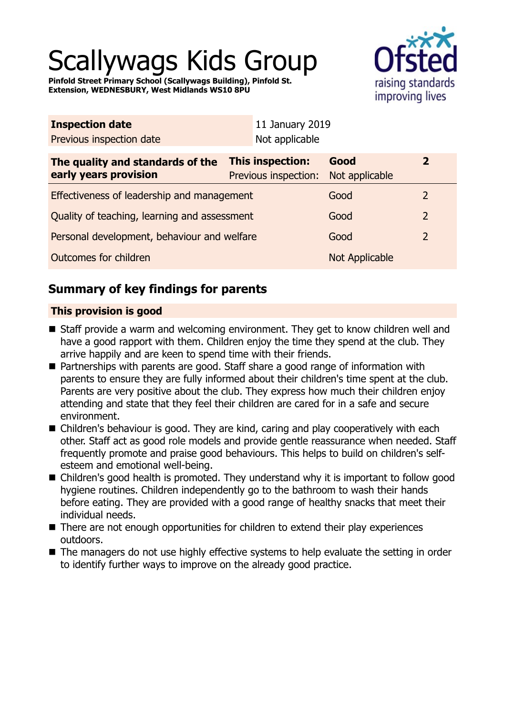# Scallywags Kids Group

**Pinfold Street Primary School (Scallywags Building), Pinfold St. Extension, WEDNESBURY, West Midlands WS10 8PU**



| <b>Inspection date</b>                                    | 11 January 2019                          |                        |                |
|-----------------------------------------------------------|------------------------------------------|------------------------|----------------|
| Previous inspection date                                  | Not applicable                           |                        |                |
| The quality and standards of the<br>early years provision | This inspection:<br>Previous inspection: | Good<br>Not applicable | $\overline{2}$ |
| Effectiveness of leadership and management                |                                          | Good                   | 2              |
| Quality of teaching, learning and assessment              |                                          | Good                   | $\overline{2}$ |
| Personal development, behaviour and welfare               |                                          | Good                   | $\overline{2}$ |
| Outcomes for children                                     |                                          | Not Applicable         |                |

## **Summary of key findings for parents**

## **This provision is good**

- Staff provide a warm and welcoming environment. They get to know children well and have a good rapport with them. Children enjoy the time they spend at the club. They arrive happily and are keen to spend time with their friends.
- Partnerships with parents are good. Staff share a good range of information with parents to ensure they are fully informed about their children's time spent at the club. Parents are very positive about the club. They express how much their children enjoy attending and state that they feel their children are cared for in a safe and secure environment.
- $\blacksquare$  Children's behaviour is good. They are kind, caring and play cooperatively with each other. Staff act as good role models and provide gentle reassurance when needed. Staff frequently promote and praise good behaviours. This helps to build on children's selfesteem and emotional well-being.
- Children's good health is promoted. They understand why it is important to follow good hygiene routines. Children independently go to the bathroom to wash their hands before eating. They are provided with a good range of healthy snacks that meet their individual needs.
- $\blacksquare$  There are not enough opportunities for children to extend their play experiences outdoors.
- $\blacksquare$  The managers do not use highly effective systems to help evaluate the setting in order to identify further ways to improve on the already good practice.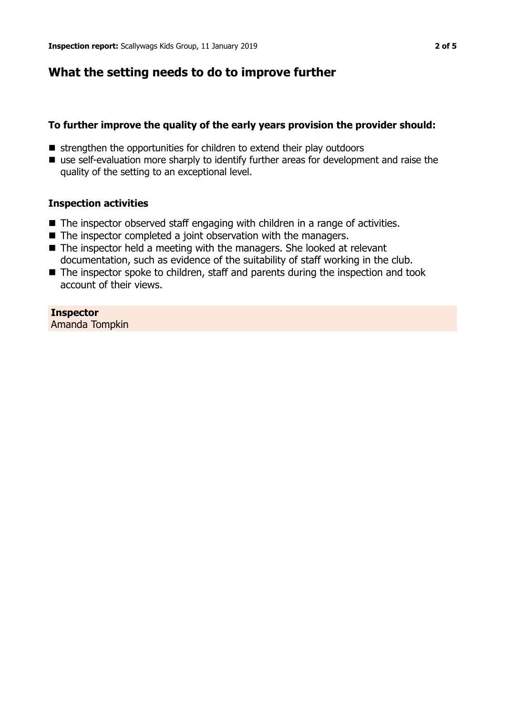## **What the setting needs to do to improve further**

### **To further improve the quality of the early years provision the provider should:**

- $\blacksquare$  strengthen the opportunities for children to extend their play outdoors
- use self-evaluation more sharply to identify further areas for development and raise the quality of the setting to an exceptional level.

#### **Inspection activities**

- $\blacksquare$  The inspector observed staff engaging with children in a range of activities.
- $\blacksquare$  The inspector completed a joint observation with the managers.
- $\blacksquare$  The inspector held a meeting with the managers. She looked at relevant documentation, such as evidence of the suitability of staff working in the club.
- $\blacksquare$  The inspector spoke to children, staff and parents during the inspection and took account of their views.

**Inspector** Amanda Tompkin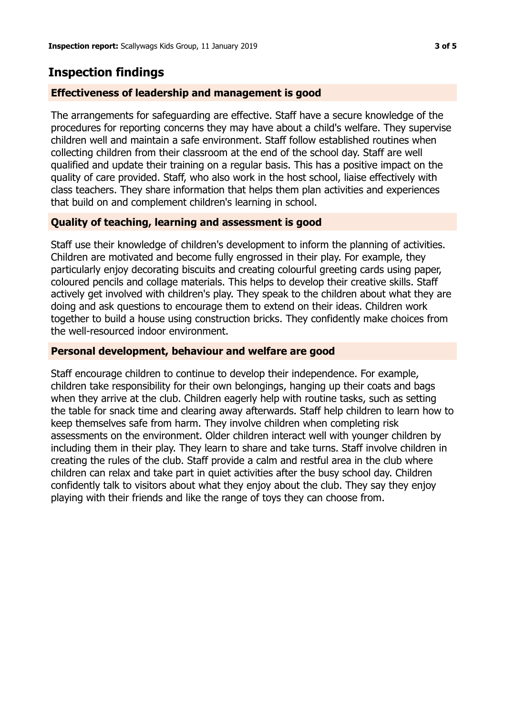## **Inspection findings**

#### **Effectiveness of leadership and management is good**

The arrangements for safeguarding are effective. Staff have a secure knowledge of the procedures for reporting concerns they may have about a child's welfare. They supervise children well and maintain a safe environment. Staff follow established routines when collecting children from their classroom at the end of the school day. Staff are well qualified and update their training on a regular basis. This has a positive impact on the quality of care provided. Staff, who also work in the host school, liaise effectively with class teachers. They share information that helps them plan activities and experiences that build on and complement children's learning in school.

#### **Quality of teaching, learning and assessment is good**

Staff use their knowledge of children's development to inform the planning of activities. Children are motivated and become fully engrossed in their play. For example, they particularly enjoy decorating biscuits and creating colourful greeting cards using paper, coloured pencils and collage materials. This helps to develop their creative skills. Staff actively get involved with children's play. They speak to the children about what they are doing and ask questions to encourage them to extend on their ideas. Children work together to build a house using construction bricks. They confidently make choices from the well-resourced indoor environment.

#### **Personal development, behaviour and welfare are good**

Staff encourage children to continue to develop their independence. For example, children take responsibility for their own belongings, hanging up their coats and bags when they arrive at the club. Children eagerly help with routine tasks, such as setting the table for snack time and clearing away afterwards. Staff help children to learn how to keep themselves safe from harm. They involve children when completing risk assessments on the environment. Older children interact well with younger children by including them in their play. They learn to share and take turns. Staff involve children in creating the rules of the club. Staff provide a calm and restful area in the club where children can relax and take part in quiet activities after the busy school day. Children confidently talk to visitors about what they enjoy about the club. They say they enjoy playing with their friends and like the range of toys they can choose from.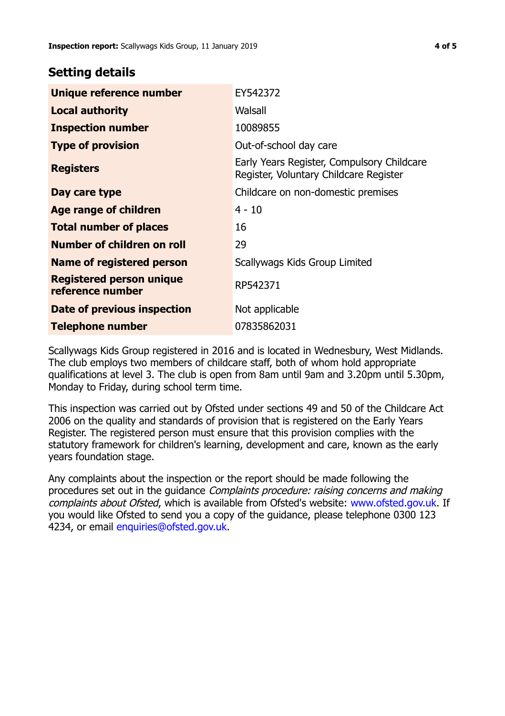## **Setting details**

| Unique reference number                             | EY542372                                                                             |  |
|-----------------------------------------------------|--------------------------------------------------------------------------------------|--|
| <b>Local authority</b>                              | Walsall                                                                              |  |
| <b>Inspection number</b>                            | 10089855                                                                             |  |
| <b>Type of provision</b>                            | Out-of-school day care                                                               |  |
| <b>Registers</b>                                    | Early Years Register, Compulsory Childcare<br>Register, Voluntary Childcare Register |  |
| Day care type                                       | Childcare on non-domestic premises                                                   |  |
| Age range of children                               | $4 - 10$                                                                             |  |
| <b>Total number of places</b>                       | 16                                                                                   |  |
| Number of children on roll                          | 29                                                                                   |  |
| <b>Name of registered person</b>                    | Scallywags Kids Group Limited                                                        |  |
| <b>Registered person unique</b><br>reference number | RP542371                                                                             |  |
| <b>Date of previous inspection</b>                  | Not applicable                                                                       |  |
| <b>Telephone number</b>                             | 07835862031                                                                          |  |

Scallywags Kids Group registered in 2016 and is located in Wednesbury, West Midlands. The club employs two members of childcare staff, both of whom hold appropriate qualifications at level 3. The club is open from 8am until 9am and 3.20pm until 5.30pm, Monday to Friday, during school term time.

This inspection was carried out by Ofsted under sections 49 and 50 of the Childcare Act 2006 on the quality and standards of provision that is registered on the Early Years Register. The registered person must ensure that this provision complies with the statutory framework for children's learning, development and care, known as the early years foundation stage.

Any complaints about the inspection or the report should be made following the procedures set out in the quidance *Complaints procedure: raising concerns and making* complaints about Ofsted, which is available from Ofsted's website: www.ofsted.gov.uk. If you would like Ofsted to send you a copy of the guidance, please telephone 0300 123 4234, or email [enquiries@ofsted.gov.uk.](mailto:enquiries@ofsted.gov.uk)